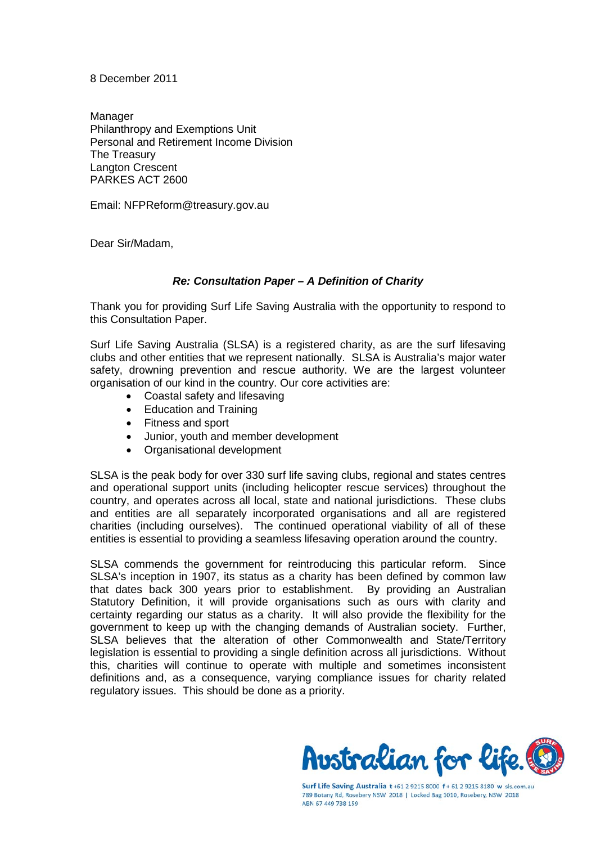8 December 2011

Manager Philanthropy and Exemptions Unit Personal and Retirement Income Division The Treasury Langton Crescent PARKES ACT 2600

Email: NFPReform@treasury.gov.au

Dear Sir/Madam,

#### *Re: Consultation Paper – A Definition of Charity*

Thank you for providing Surf Life Saving Australia with the opportunity to respond to this Consultation Paper.

Surf Life Saving Australia (SLSA) is a registered charity, as are the surf lifesaving clubs and other entities that we represent nationally. SLSA is Australia's major water safety, drowning prevention and rescue authority. We are the largest volunteer organisation of our kind in the country. Our core activities are:

- Coastal safety and lifesaving
- Education and Training
- Fitness and sport
- Junior, youth and member development
- Organisational development

SLSA is the peak body for over 330 surf life saving clubs, regional and states centres and operational support units (including helicopter rescue services) throughout the country, and operates across all local, state and national jurisdictions. These clubs and entities are all separately incorporated organisations and all are registered charities (including ourselves). The continued operational viability of all of these entities is essential to providing a seamless lifesaving operation around the country.

SLSA commends the government for reintroducing this particular reform. Since SLSA's inception in 1907, its status as a charity has been defined by common law that dates back 300 years prior to establishment. By providing an Australian Statutory Definition, it will provide organisations such as ours with clarity and certainty regarding our status as a charity. It will also provide the flexibility for the government to keep up with the changing demands of Australian society. Further, SLSA believes that the alteration of other Commonwealth and State/Territory legislation is essential to providing a single definition across all jurisdictions. Without this, charities will continue to operate with multiple and sometimes inconsistent definitions and, as a consequence, varying compliance issues for charity related regulatory issues. This should be done as a priority.



Surf Life Saving Australia t+61 2 9215 8000 f + 61 2 9215 8180 w sls.com.au 789 Botany Rd, Rosebery NSW 2018 | Locked Bag 1010, Rosebery, NSW 2018 ABN 67 449 738 159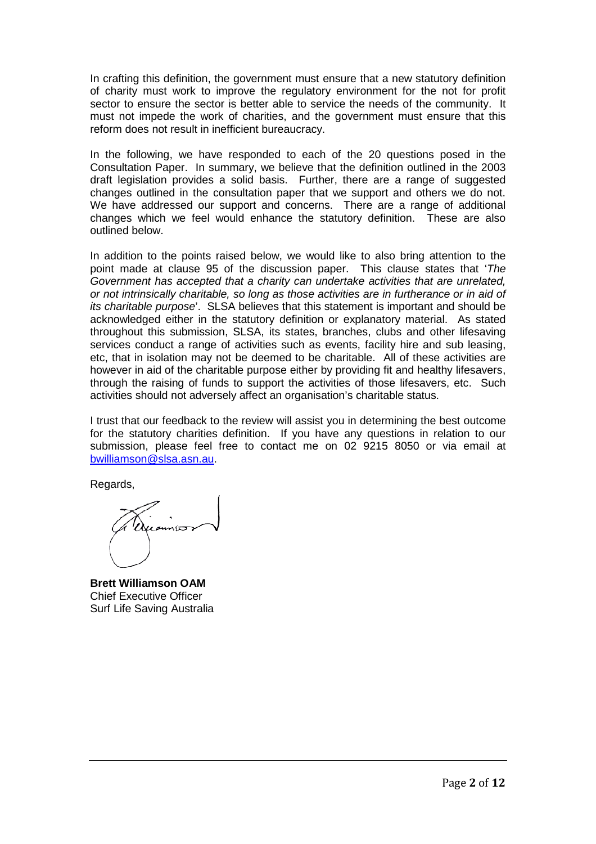In crafting this definition, the government must ensure that a new statutory definition of charity must work to improve the regulatory environment for the not for profit sector to ensure the sector is better able to service the needs of the community. It must not impede the work of charities, and the government must ensure that this reform does not result in inefficient bureaucracy.

In the following, we have responded to each of the 20 questions posed in the Consultation Paper. In summary, we believe that the definition outlined in the 2003 draft legislation provides a solid basis. Further, there are a range of suggested changes outlined in the consultation paper that we support and others we do not. We have addressed our support and concerns. There are a range of additional changes which we feel would enhance the statutory definition. These are also outlined below.

In addition to the points raised below, we would like to also bring attention to the point made at clause 95 of the discussion paper. This clause states that '*The Government has accepted that a charity can undertake activities that are unrelated, or not intrinsically charitable, so long as those activities are in furtherance or in aid of its charitable purpose*'. SLSA believes that this statement is important and should be acknowledged either in the statutory definition or explanatory material. As stated throughout this submission, SLSA, its states, branches, clubs and other lifesaving services conduct a range of activities such as events, facility hire and sub leasing, etc, that in isolation may not be deemed to be charitable. All of these activities are however in aid of the charitable purpose either by providing fit and healthy lifesavers, through the raising of funds to support the activities of those lifesavers, etc. Such activities should not adversely affect an organisation's charitable status.

I trust that our feedback to the review will assist you in determining the best outcome for the statutory charities definition. If you have any questions in relation to our submission, please feel free to contact me on 02 9215 8050 or via email at [bwilliamson@slsa.asn.au.](mailto:bwilliamson@slsa.asn.au)

Regards,

**Brett Williamson OAM** Chief Executive Officer Surf Life Saving Australia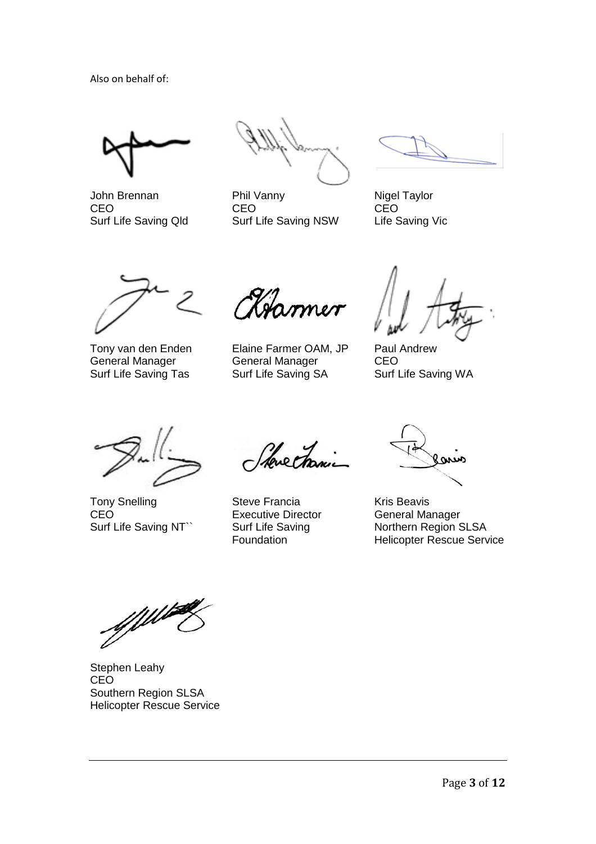Also on behalf of:

John Brennan CEO Surf Life Saving Qld

Phil Vanny CEO Surf Life Saving NSW

Nigel Taylor CEO Life Saving Vic

Tony van den Enden General Manager Surf Life Saving Tas

Hammer

Elaine Farmer OAM, JP General Manager Surf Life Saving SA

Paul Andrew CEO Surf Life Saving WA

Tony Snelling CEO Surf Life Saving NT``

Stevectranic

Steve Francia Executive Director Surf Life Saving Foundation

 $\omega$ 

Kris Beavis General Manager Northern Region SLSA Helicopter Rescue Service

Stephen Leahy CEO Southern Region SLSA Helicopter Rescue Service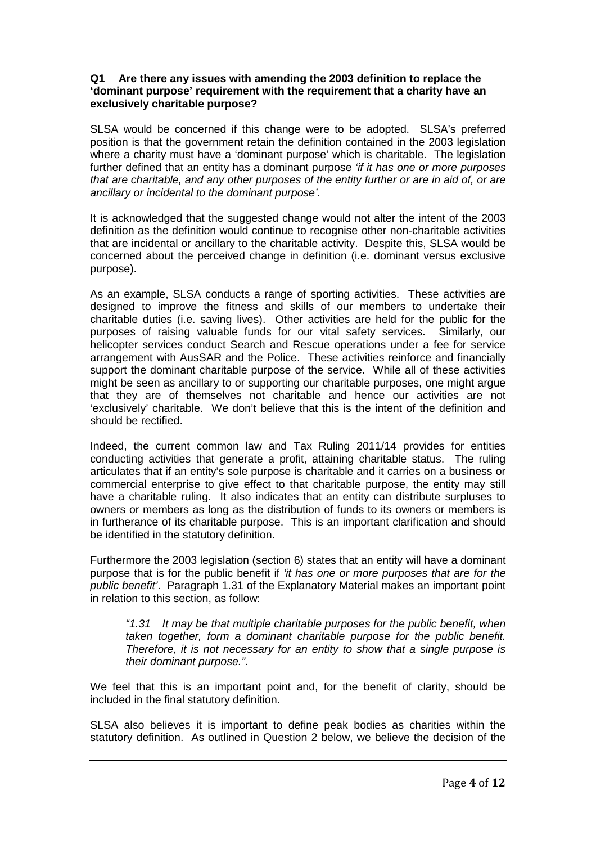### **Q1 Are there any issues with amending the 2003 definition to replace the 'dominant purpose' requirement with the requirement that a charity have an exclusively charitable purpose?**

SLSA would be concerned if this change were to be adopted. SLSA's preferred position is that the government retain the definition contained in the 2003 legislation where a charity must have a 'dominant purpose' which is charitable. The legislation further defined that an entity has a dominant purpose *'if it has one or more purposes that are charitable, and any other purposes of the entity further or are in aid of, or are ancillary or incidental to the dominant purpose'.*

It is acknowledged that the suggested change would not alter the intent of the 2003 definition as the definition would continue to recognise other non-charitable activities that are incidental or ancillary to the charitable activity. Despite this, SLSA would be concerned about the perceived change in definition (i.e. dominant versus exclusive purpose).

As an example, SLSA conducts a range of sporting activities. These activities are designed to improve the fitness and skills of our members to undertake their charitable duties (i.e. saving lives). Other activities are held for the public for the purposes of raising valuable funds for our vital safety services. Similarly, our helicopter services conduct Search and Rescue operations under a fee for service arrangement with AusSAR and the Police. These activities reinforce and financially support the dominant charitable purpose of the service. While all of these activities might be seen as ancillary to or supporting our charitable purposes, one might argue that they are of themselves not charitable and hence our activities are not 'exclusively' charitable. We don't believe that this is the intent of the definition and should be rectified.

Indeed, the current common law and Tax Ruling 2011/14 provides for entities conducting activities that generate a profit, attaining charitable status. The ruling articulates that if an entity's sole purpose is charitable and it carries on a business or commercial enterprise to give effect to that charitable purpose, the entity may still have a charitable ruling. It also indicates that an entity can distribute surpluses to owners or members as long as the distribution of funds to its owners or members is in furtherance of its charitable purpose. This is an important clarification and should be identified in the statutory definition.

Furthermore the 2003 legislation (section 6) states that an entity will have a dominant purpose that is for the public benefit if *'it has one or more purposes that are for the public benefit'*. Paragraph 1.31 of the Explanatory Material makes an important point in relation to this section, as follow:

*"1.31 It may be that multiple charitable purposes for the public benefit, when taken together, form a dominant charitable purpose for the public benefit. Therefore, it is not necessary for an entity to show that a single purpose is their dominant purpose."*.

We feel that this is an important point and, for the benefit of clarity, should be included in the final statutory definition.

SLSA also believes it is important to define peak bodies as charities within the statutory definition. As outlined in Question 2 below, we believe the decision of the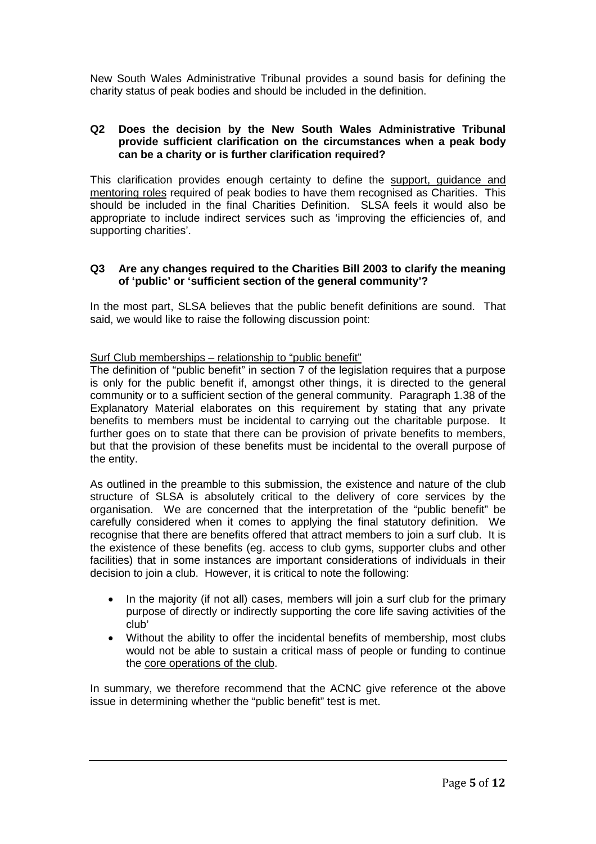New South Wales Administrative Tribunal provides a sound basis for defining the charity status of peak bodies and should be included in the definition.

### **Q2 Does the decision by the New South Wales Administrative Tribunal provide sufficient clarification on the circumstances when a peak body can be a charity or is further clarification required?**

This clarification provides enough certainty to define the support, guidance and mentoring roles required of peak bodies to have them recognised as Charities. This should be included in the final Charities Definition. SLSA feels it would also be appropriate to include indirect services such as 'improving the efficiencies of, and supporting charities'.

### **Q3 Are any changes required to the Charities Bill 2003 to clarify the meaning of 'public' or 'sufficient section of the general community'?**

In the most part, SLSA believes that the public benefit definitions are sound. That said, we would like to raise the following discussion point:

### Surf Club memberships – relationship to "public benefit"

The definition of "public benefit" in section 7 of the legislation requires that a purpose is only for the public benefit if, amongst other things, it is directed to the general community or to a sufficient section of the general community. Paragraph 1.38 of the Explanatory Material elaborates on this requirement by stating that any private benefits to members must be incidental to carrying out the charitable purpose. It further goes on to state that there can be provision of private benefits to members, but that the provision of these benefits must be incidental to the overall purpose of the entity.

As outlined in the preamble to this submission, the existence and nature of the club structure of SLSA is absolutely critical to the delivery of core services by the organisation. We are concerned that the interpretation of the "public benefit" be carefully considered when it comes to applying the final statutory definition. We recognise that there are benefits offered that attract members to join a surf club. It is the existence of these benefits (eg. access to club gyms, supporter clubs and other facilities) that in some instances are important considerations of individuals in their decision to join a club. However, it is critical to note the following:

- In the majority (if not all) cases, members will join a surf club for the primary purpose of directly or indirectly supporting the core life saving activities of the club'
- Without the ability to offer the incidental benefits of membership, most clubs would not be able to sustain a critical mass of people or funding to continue the core operations of the club.

In summary, we therefore recommend that the ACNC give reference ot the above issue in determining whether the "public benefit" test is met.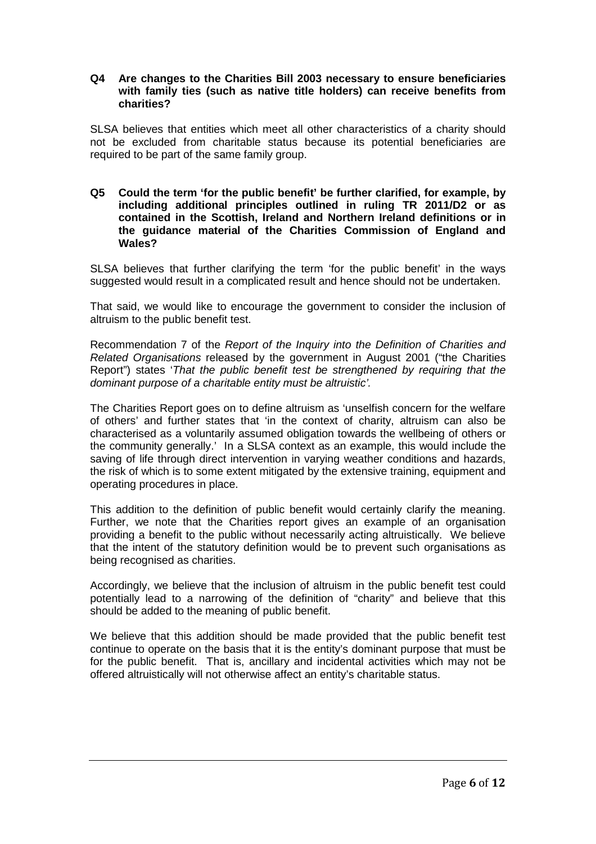### **Q4 Are changes to the Charities Bill 2003 necessary to ensure beneficiaries with family ties (such as native title holders) can receive benefits from charities?**

SLSA believes that entities which meet all other characteristics of a charity should not be excluded from charitable status because its potential beneficiaries are required to be part of the same family group.

**Q5 Could the term 'for the public benefit' be further clarified, for example, by including additional principles outlined in ruling TR 2011/D2 or as contained in the Scottish, Ireland and Northern Ireland definitions or in the guidance material of the Charities Commission of England and Wales?**

SLSA believes that further clarifying the term 'for the public benefit' in the ways suggested would result in a complicated result and hence should not be undertaken.

That said, we would like to encourage the government to consider the inclusion of altruism to the public benefit test.

Recommendation 7 of the *Report of the Inquiry into the Definition of Charities and Related Organisations* released by the government in August 2001 ("the Charities Report") states '*That the public benefit test be strengthened by requiring that the dominant purpose of a charitable entity must be altruistic'.*

The Charities Report goes on to define altruism as 'unselfish concern for the welfare of others' and further states that 'in the context of charity, altruism can also be characterised as a voluntarily assumed obligation towards the wellbeing of others or the community generally.' In a SLSA context as an example, this would include the saving of life through direct intervention in varying weather conditions and hazards, the risk of which is to some extent mitigated by the extensive training, equipment and operating procedures in place.

This addition to the definition of public benefit would certainly clarify the meaning. Further, we note that the Charities report gives an example of an organisation providing a benefit to the public without necessarily acting altruistically. We believe that the intent of the statutory definition would be to prevent such organisations as being recognised as charities.

Accordingly, we believe that the inclusion of altruism in the public benefit test could potentially lead to a narrowing of the definition of "charity" and believe that this should be added to the meaning of public benefit.

We believe that this addition should be made provided that the public benefit test continue to operate on the basis that it is the entity's dominant purpose that must be for the public benefit. That is, ancillary and incidental activities which may not be offered altruistically will not otherwise affect an entity's charitable status.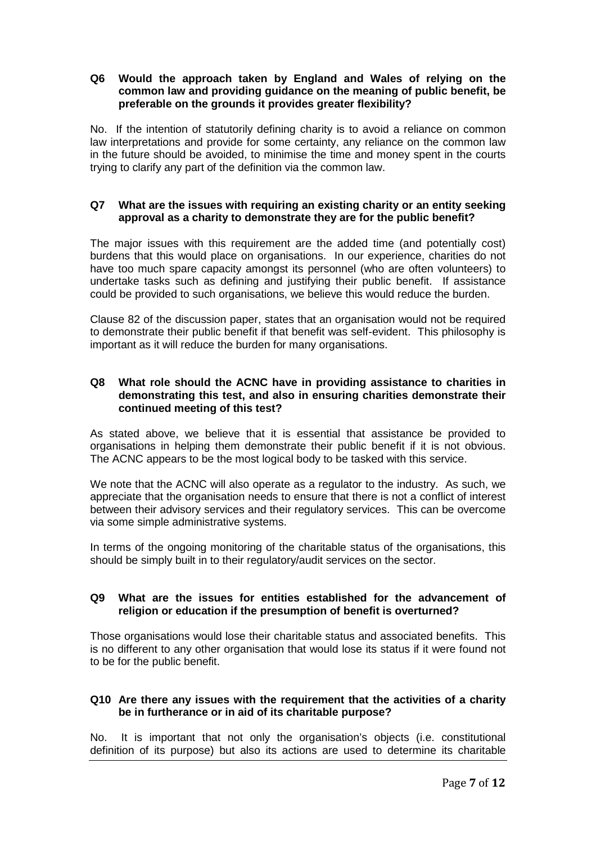### **Q6 Would the approach taken by England and Wales of relying on the common law and providing guidance on the meaning of public benefit, be preferable on the grounds it provides greater flexibility?**

No. If the intention of statutorily defining charity is to avoid a reliance on common law interpretations and provide for some certainty, any reliance on the common law in the future should be avoided, to minimise the time and money spent in the courts trying to clarify any part of the definition via the common law.

# **Q7 What are the issues with requiring an existing charity or an entity seeking approval as a charity to demonstrate they are for the public benefit?**

The major issues with this requirement are the added time (and potentially cost) burdens that this would place on organisations. In our experience, charities do not have too much spare capacity amongst its personnel (who are often volunteers) to undertake tasks such as defining and justifying their public benefit. If assistance could be provided to such organisations, we believe this would reduce the burden.

Clause 82 of the discussion paper, states that an organisation would not be required to demonstrate their public benefit if that benefit was self-evident. This philosophy is important as it will reduce the burden for many organisations.

### **Q8 What role should the ACNC have in providing assistance to charities in demonstrating this test, and also in ensuring charities demonstrate their continued meeting of this test?**

As stated above, we believe that it is essential that assistance be provided to organisations in helping them demonstrate their public benefit if it is not obvious. The ACNC appears to be the most logical body to be tasked with this service.

We note that the ACNC will also operate as a regulator to the industry. As such, we appreciate that the organisation needs to ensure that there is not a conflict of interest between their advisory services and their regulatory services. This can be overcome via some simple administrative systems.

In terms of the ongoing monitoring of the charitable status of the organisations, this should be simply built in to their regulatory/audit services on the sector.

# **Q9 What are the issues for entities established for the advancement of religion or education if the presumption of benefit is overturned?**

Those organisations would lose their charitable status and associated benefits. This is no different to any other organisation that would lose its status if it were found not to be for the public benefit.

# **Q10 Are there any issues with the requirement that the activities of a charity be in furtherance or in aid of its charitable purpose?**

No. It is important that not only the organisation's objects (i.e. constitutional definition of its purpose) but also its actions are used to determine its charitable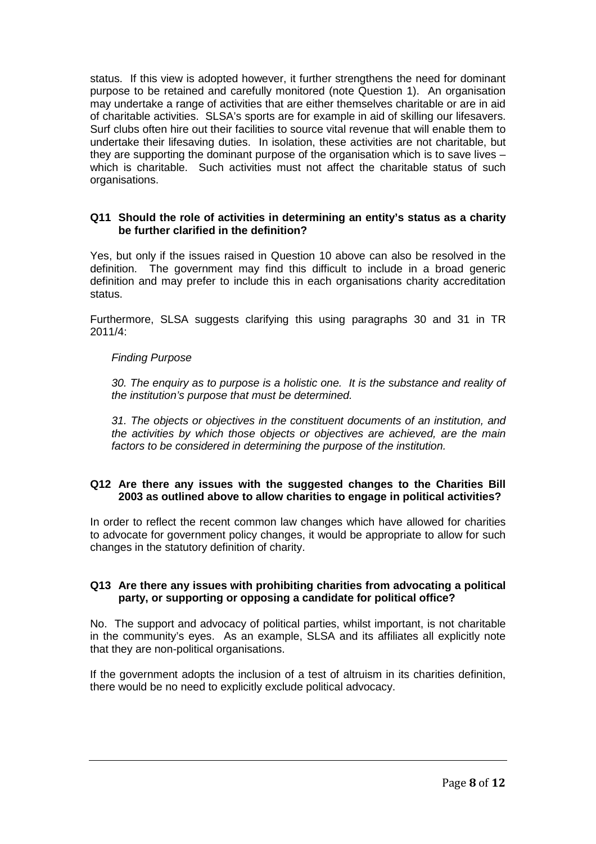status. If this view is adopted however, it further strengthens the need for dominant purpose to be retained and carefully monitored (note Question 1). An organisation may undertake a range of activities that are either themselves charitable or are in aid of charitable activities. SLSA's sports are for example in aid of skilling our lifesavers. Surf clubs often hire out their facilities to source vital revenue that will enable them to undertake their lifesaving duties. In isolation, these activities are not charitable, but they are supporting the dominant purpose of the organisation which is to save lives – which is charitable. Such activities must not affect the charitable status of such organisations.

# **Q11 Should the role of activities in determining an entity's status as a charity be further clarified in the definition?**

Yes, but only if the issues raised in Question 10 above can also be resolved in the definition. The government may find this difficult to include in a broad generic definition and may prefer to include this in each organisations charity accreditation status.

Furthermore, SLSA suggests clarifying this using paragraphs 30 and 31 in TR 2011/4:

# *Finding Purpose*

*30. The enquiry as to purpose is a holistic one. It is the substance and reality of the institution's purpose that must be determined.*

*31. The objects or objectives in the constituent documents of an institution, and the activities by which those objects or objectives are achieved, are the main factors to be considered in determining the purpose of the institution.*

# **Q12 Are there any issues with the suggested changes to the Charities Bill 2003 as outlined above to allow charities to engage in political activities?**

In order to reflect the recent common law changes which have allowed for charities to advocate for government policy changes, it would be appropriate to allow for such changes in the statutory definition of charity.

# **Q13 Are there any issues with prohibiting charities from advocating a political party, or supporting or opposing a candidate for political office?**

No. The support and advocacy of political parties, whilst important, is not charitable in the community's eyes. As an example, SLSA and its affiliates all explicitly note that they are non-political organisations.

If the government adopts the inclusion of a test of altruism in its charities definition, there would be no need to explicitly exclude political advocacy.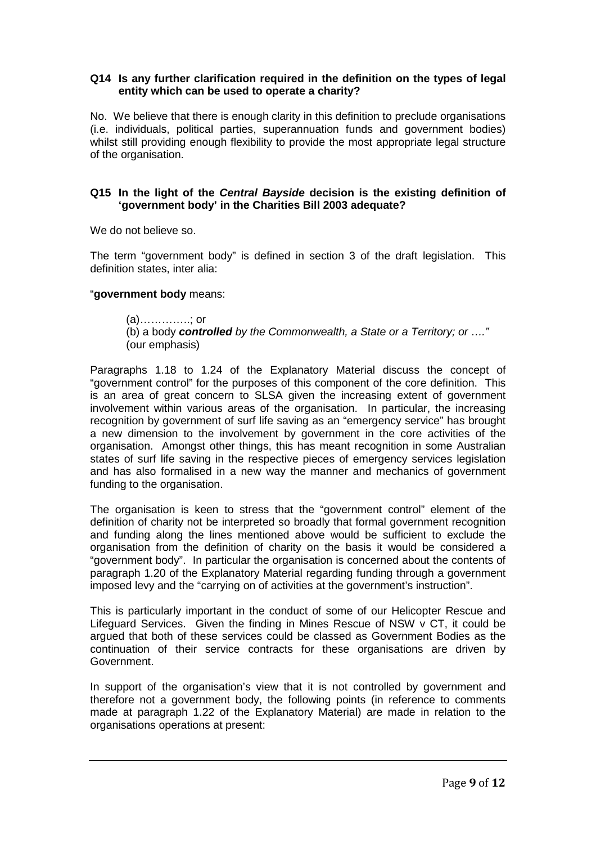# **Q14 Is any further clarification required in the definition on the types of legal entity which can be used to operate a charity?**

No. We believe that there is enough clarity in this definition to preclude organisations (i.e. individuals, political parties, superannuation funds and government bodies) whilst still providing enough flexibility to provide the most appropriate legal structure of the organisation.

# **Q15 In the light of the** *Central Bayside* **decision is the existing definition of 'government body' in the Charities Bill 2003 adequate?**

We do not believe so.

The term "government body" is defined in section 3 of the draft legislation. This definition states, inter alia:

### "**government body** means:

(a)…………..; or (b) a body *controlled by the Commonwealth, a State or a Territory; or …."* (our emphasis)

Paragraphs 1.18 to 1.24 of the Explanatory Material discuss the concept of "government control" for the purposes of this component of the core definition. This is an area of great concern to SLSA given the increasing extent of government involvement within various areas of the organisation. In particular, the increasing recognition by government of surf life saving as an "emergency service" has brought a new dimension to the involvement by government in the core activities of the organisation. Amongst other things, this has meant recognition in some Australian states of surf life saving in the respective pieces of emergency services legislation and has also formalised in a new way the manner and mechanics of government funding to the organisation.

The organisation is keen to stress that the "government control" element of the definition of charity not be interpreted so broadly that formal government recognition and funding along the lines mentioned above would be sufficient to exclude the organisation from the definition of charity on the basis it would be considered a "government body". In particular the organisation is concerned about the contents of paragraph 1.20 of the Explanatory Material regarding funding through a government imposed levy and the "carrying on of activities at the government's instruction".

This is particularly important in the conduct of some of our Helicopter Rescue and Lifeguard Services. Given the finding in Mines Rescue of NSW v CT, it could be argued that both of these services could be classed as Government Bodies as the continuation of their service contracts for these organisations are driven by Government.

In support of the organisation's view that it is not controlled by government and therefore not a government body, the following points (in reference to comments made at paragraph 1.22 of the Explanatory Material) are made in relation to the organisations operations at present: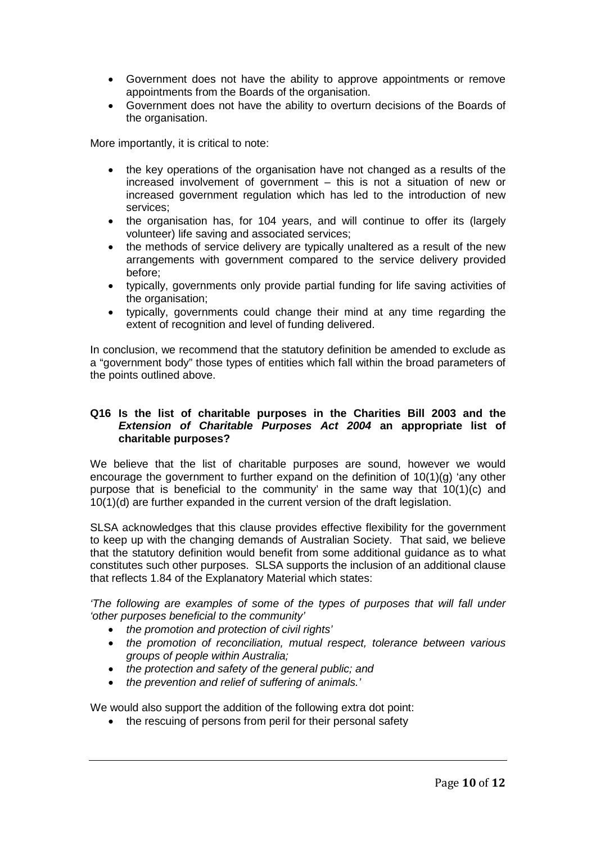- Government does not have the ability to approve appointments or remove appointments from the Boards of the organisation.
- Government does not have the ability to overturn decisions of the Boards of the organisation.

More importantly, it is critical to note:

- the key operations of the organisation have not changed as a results of the increased involvement of government – this is not a situation of new or increased government regulation which has led to the introduction of new services;
- the organisation has, for 104 years, and will continue to offer its (largely volunteer) life saving and associated services;
- the methods of service delivery are typically unaltered as a result of the new arrangements with government compared to the service delivery provided before;
- typically, governments only provide partial funding for life saving activities of the organisation;
- typically, governments could change their mind at any time regarding the extent of recognition and level of funding delivered.

In conclusion, we recommend that the statutory definition be amended to exclude as a "government body" those types of entities which fall within the broad parameters of the points outlined above.

# **Q16 Is the list of charitable purposes in the Charities Bill 2003 and the**  *Extension of Charitable Purposes Act 2004* **an appropriate list of charitable purposes?**

We believe that the list of charitable purposes are sound, however we would encourage the government to further expand on the definition of 10(1)(g) 'any other purpose that is beneficial to the community' in the same way that 10(1)(c) and 10(1)(d) are further expanded in the current version of the draft legislation.

SLSA acknowledges that this clause provides effective flexibility for the government to keep up with the changing demands of Australian Society. That said, we believe that the statutory definition would benefit from some additional guidance as to what constitutes such other purposes. SLSA supports the inclusion of an additional clause that reflects 1.84 of the Explanatory Material which states:

*'The following are examples of some of the types of purposes that will fall under 'other purposes beneficial to the community'*

- *the promotion and protection of civil rights'*
- *the promotion of reconciliation, mutual respect, tolerance between various groups of people within Australia;*
- *the protection and safety of the general public; and*
- *the prevention and relief of suffering of animals.'*

We would also support the addition of the following extra dot point:

• the rescuing of persons from peril for their personal safety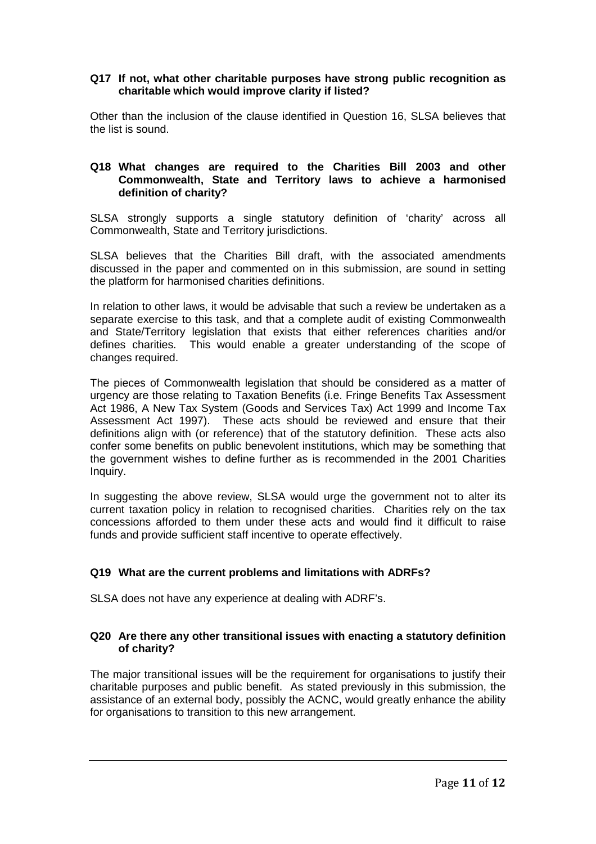# **Q17 If not, what other charitable purposes have strong public recognition as charitable which would improve clarity if listed?**

Other than the inclusion of the clause identified in Question 16, SLSA believes that the list is sound.

### **Q18 What changes are required to the Charities Bill 2003 and other Commonwealth, State and Territory laws to achieve a harmonised definition of charity?**

SLSA strongly supports a single statutory definition of 'charity' across all Commonwealth, State and Territory jurisdictions.

SLSA believes that the Charities Bill draft, with the associated amendments discussed in the paper and commented on in this submission, are sound in setting the platform for harmonised charities definitions.

In relation to other laws, it would be advisable that such a review be undertaken as a separate exercise to this task, and that a complete audit of existing Commonwealth and State/Territory legislation that exists that either references charities and/or defines charities. This would enable a greater understanding of the scope of changes required.

The pieces of Commonwealth legislation that should be considered as a matter of urgency are those relating to Taxation Benefits (i.e. Fringe Benefits Tax Assessment Act 1986, A New Tax System (Goods and Services Tax) Act 1999 and Income Tax Assessment Act 1997). These acts should be reviewed and ensure that their definitions align with (or reference) that of the statutory definition. These acts also confer some benefits on public benevolent institutions, which may be something that the government wishes to define further as is recommended in the 2001 Charities Inquiry.

In suggesting the above review, SLSA would urge the government not to alter its current taxation policy in relation to recognised charities. Charities rely on the tax concessions afforded to them under these acts and would find it difficult to raise funds and provide sufficient staff incentive to operate effectively.

# **Q19 What are the current problems and limitations with ADRFs?**

SLSA does not have any experience at dealing with ADRF's.

### **Q20 Are there any other transitional issues with enacting a statutory definition of charity?**

The major transitional issues will be the requirement for organisations to justify their charitable purposes and public benefit. As stated previously in this submission, the assistance of an external body, possibly the ACNC, would greatly enhance the ability for organisations to transition to this new arrangement.